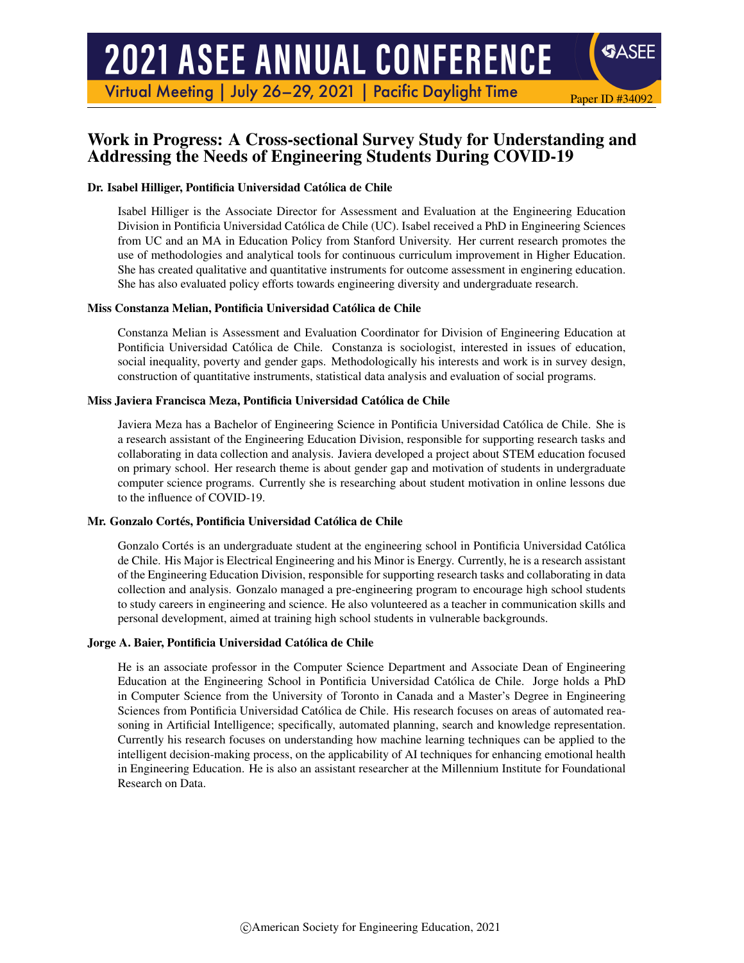# **2021 ASEE ANNUAL CONFERENCE**

Virtual Meeting | July 26-29, 2021 | Pacific Daylight Time

# Work in Progress: A Cross-sectional Survey Study for Understanding and Addressing the Needs of Engineering Students During COVID-19

Paper ID #34092

**SASEE** 

## Dr. Isabel Hilliger, Pontificia Universidad Catolica de Chile ´

Isabel Hilliger is the Associate Director for Assessment and Evaluation at the Engineering Education Division in Pontificia Universidad Catolica de Chile (UC). Isabel received a PhD in Engineering Sciences ´ from UC and an MA in Education Policy from Stanford University. Her current research promotes the use of methodologies and analytical tools for continuous curriculum improvement in Higher Education. She has created qualitative and quantitative instruments for outcome assessment in enginering education. She has also evaluated policy efforts towards engineering diversity and undergraduate research.

## Miss Constanza Melian, Pontificia Universidad Catolica de Chile ´

Constanza Melian is Assessment and Evaluation Coordinator for Division of Engineering Education at Pontificia Universidad Catolica de Chile. Constanza is sociologist, interested in issues of education, ´ social inequality, poverty and gender gaps. Methodologically his interests and work is in survey design, construction of quantitative instruments, statistical data analysis and evaluation of social programs.

## Miss Javiera Francisca Meza, Pontificia Universidad Catolica de Chile ´

Javiera Meza has a Bachelor of Engineering Science in Pontificia Universidad Catolica de Chile. She is ´ a research assistant of the Engineering Education Division, responsible for supporting research tasks and collaborating in data collection and analysis. Javiera developed a project about STEM education focused on primary school. Her research theme is about gender gap and motivation of students in undergraduate computer science programs. Currently she is researching about student motivation in online lessons due to the influence of COVID-19.

#### Mr. Gonzalo Cortés, Pontificia Universidad Católica de Chile

Gonzalo Cortés is an undergraduate student at the engineering school in Pontificia Universidad Católica de Chile. His Major is Electrical Engineering and his Minor is Energy. Currently, he is a research assistant of the Engineering Education Division, responsible for supporting research tasks and collaborating in data collection and analysis. Gonzalo managed a pre-engineering program to encourage high school students to study careers in engineering and science. He also volunteered as a teacher in communication skills and personal development, aimed at training high school students in vulnerable backgrounds.

#### Jorge A. Baier, Pontificia Universidad Catolica de Chile ´

He is an associate professor in the Computer Science Department and Associate Dean of Engineering Education at the Engineering School in Pontificia Universidad Catolica de Chile. Jorge holds a PhD ´ in Computer Science from the University of Toronto in Canada and a Master's Degree in Engineering Sciences from Pontificia Universidad Catolica de Chile. His research focuses on areas of automated rea- ´ soning in Artificial Intelligence; specifically, automated planning, search and knowledge representation. Currently his research focuses on understanding how machine learning techniques can be applied to the intelligent decision-making process, on the applicability of AI techniques for enhancing emotional health in Engineering Education. He is also an assistant researcher at the Millennium Institute for Foundational Research on Data.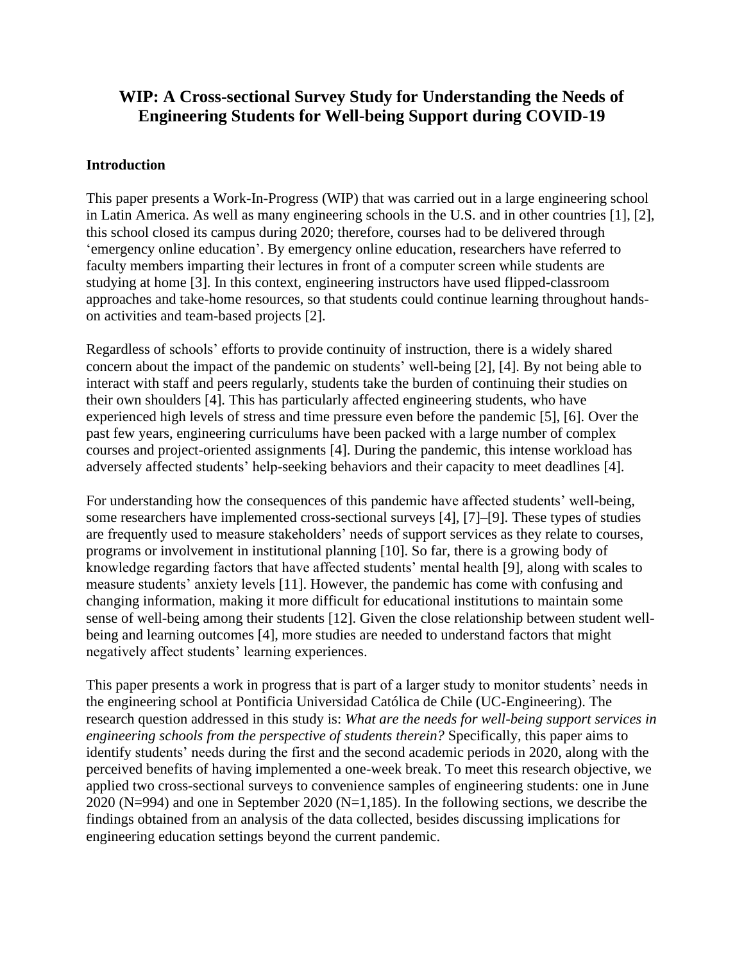# **WIP: A Cross-sectional Survey Study for Understanding the Needs of Engineering Students for Well-being Support during COVID-19**

# **Introduction**

This paper presents a Work-In-Progress (WIP) that was carried out in a large engineering school in Latin America. As well as many engineering schools in the U.S. and in other countries [1], [2], this school closed its campus during 2020; therefore, courses had to be delivered through 'emergency online education'. By emergency online education, researchers have referred to faculty members imparting their lectures in front of a computer screen while students are studying at home [3]. In this context, engineering instructors have used flipped-classroom approaches and take-home resources, so that students could continue learning throughout handson activities and team-based projects [2].

Regardless of schools' efforts to provide continuity of instruction, there is a widely shared concern about the impact of the pandemic on students' well-being [2], [4]. By not being able to interact with staff and peers regularly, students take the burden of continuing their studies on their own shoulders [4]. This has particularly affected engineering students, who have experienced high levels of stress and time pressure even before the pandemic [5], [6]. Over the past few years, engineering curriculums have been packed with a large number of complex courses and project-oriented assignments [4]. During the pandemic, this intense workload has adversely affected students' help-seeking behaviors and their capacity to meet deadlines [4].

For understanding how the consequences of this pandemic have affected students' well-being, some researchers have implemented cross-sectional surveys [4], [7]–[9]. These types of studies are frequently used to measure stakeholders' needs of support services as they relate to courses, programs or involvement in institutional planning [10]. So far, there is a growing body of knowledge regarding factors that have affected students' mental health [9], along with scales to measure students' anxiety levels [11]. However, the pandemic has come with confusing and changing information, making it more difficult for educational institutions to maintain some sense of well-being among their students [12]. Given the close relationship between student wellbeing and learning outcomes [4], more studies are needed to understand factors that might negatively affect students' learning experiences.

This paper presents a work in progress that is part of a larger study to monitor students' needs in the engineering school at Pontificia Universidad Católica de Chile (UC-Engineering). The research question addressed in this study is: *What are the needs for well-being support services in engineering schools from the perspective of students therein?* Specifically, this paper aims to identify students' needs during the first and the second academic periods in 2020, along with the perceived benefits of having implemented a one-week break. To meet this research objective, we applied two cross-sectional surveys to convenience samples of engineering students: one in June 2020 (N=994) and one in September 2020 (N=1,185). In the following sections, we describe the findings obtained from an analysis of the data collected, besides discussing implications for engineering education settings beyond the current pandemic.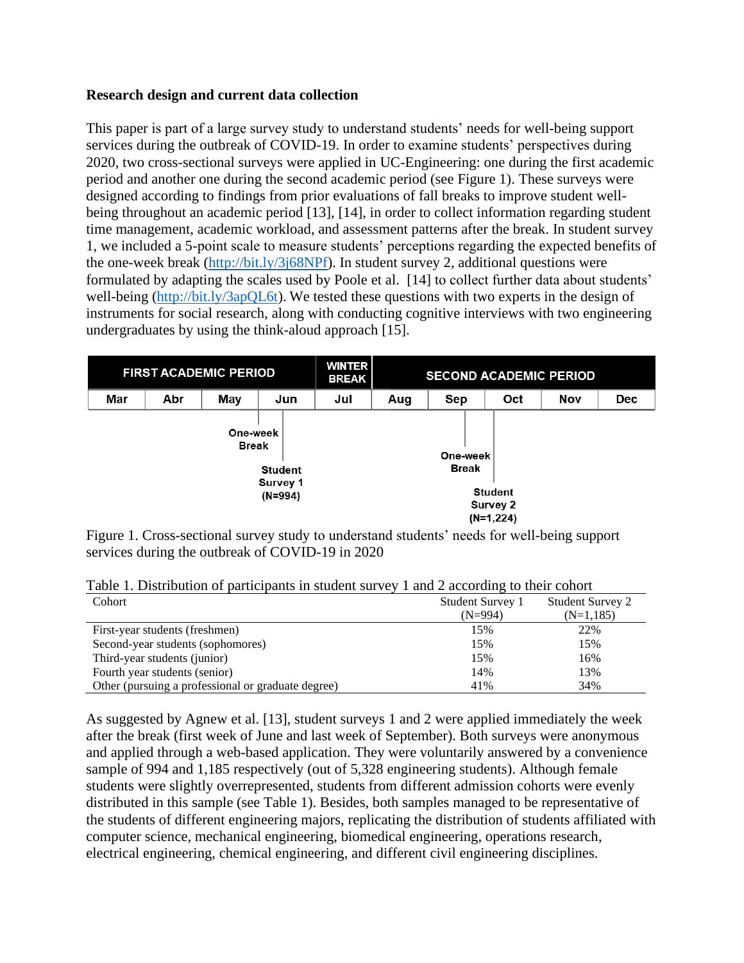# **Research design and current data collection**

This paper is part of a large survey study to understand students' needs for well-being support services during the outbreak of COVID-19. In order to examine students' perspectives during 2020, two cross-sectional surveys were applied in UC-Engineering: one during the first academic period and another one during the second academic period (see Figure 1). These surveys were designed according to findings from prior evaluations of fall breaks to improve student wellbeing throughout an academic period [13], [14], in order to collect information regarding student time management, academic workload, and assessment patterns after the break. In student survey 1, we included a 5-point scale to measure students' perceptions regarding the expected benefits of the one-week break [\(http://bit.ly/3j68NPf\)](http://bit.ly/3j68NPf). In student survey 2, additional questions were formulated by adapting the scales used by Poole et al. [14] to collect further data about students' well-being [\(http://bit.ly/3apQL6t\)](http://bit.ly/3apQL6t). We tested these questions with two experts in the design of instruments for social research, along with conducting cognitive interviews with two engineering undergraduates by using the think-aloud approach [15].

| <b>FIRST ACADEMIC PERIOD</b>                                        |     |     | <b>WINTER</b><br><b>BREAK</b> | <b>SECOND ACADEMIC PERIOD</b> |                          |                                           |     |     |            |
|---------------------------------------------------------------------|-----|-----|-------------------------------|-------------------------------|--------------------------|-------------------------------------------|-----|-----|------------|
| Mar                                                                 | Abr | May | Jun                           | Jul                           | Aug                      | Sep                                       | Oct | Nov | <b>Dec</b> |
| One-week<br><b>Break</b><br><b>Student</b><br>Survey 1<br>$(N=994)$ |     |     |                               |                               | One-week<br><b>Break</b> | <b>Student</b><br>Survey 2<br>$(N=1,224)$ |     |     |            |

Figure 1. Cross-sectional survey study to understand students' needs for well-being support services during the outbreak of COVID-19 in 2020

Table 1. Distribution of participants in student survey 1 and 2 according to their cohort

| Cohort                                             | Student Survey 1 | <b>Student Survey 2</b> |
|----------------------------------------------------|------------------|-------------------------|
|                                                    | (N=994)          | $(N=1,185)$             |
| First-year students (freshmen)                     | 15%              | 22%                     |
| Second-year students (sophomores)                  | 15%              | 15%                     |
| Third-year students (junior)                       | 15%              | 16%                     |
| Fourth year students (senior)                      | 14%              | 13%                     |
| Other (pursuing a professional or graduate degree) | 41%              | 34%                     |

As suggested by Agnew et al. [13], student surveys 1 and 2 were applied immediately the week after the break (first week of June and last week of September). Both surveys were anonymous and applied through a web-based application. They were voluntarily answered by a convenience sample of 994 and 1,185 respectively (out of 5,328 engineering students). Although female students were slightly overrepresented, students from different admission cohorts were evenly distributed in this sample (see Table 1). Besides, both samples managed to be representative of the students of different engineering majors, replicating the distribution of students affiliated with computer science, mechanical engineering, biomedical engineering, operations research, electrical engineering, chemical engineering, and different civil engineering disciplines.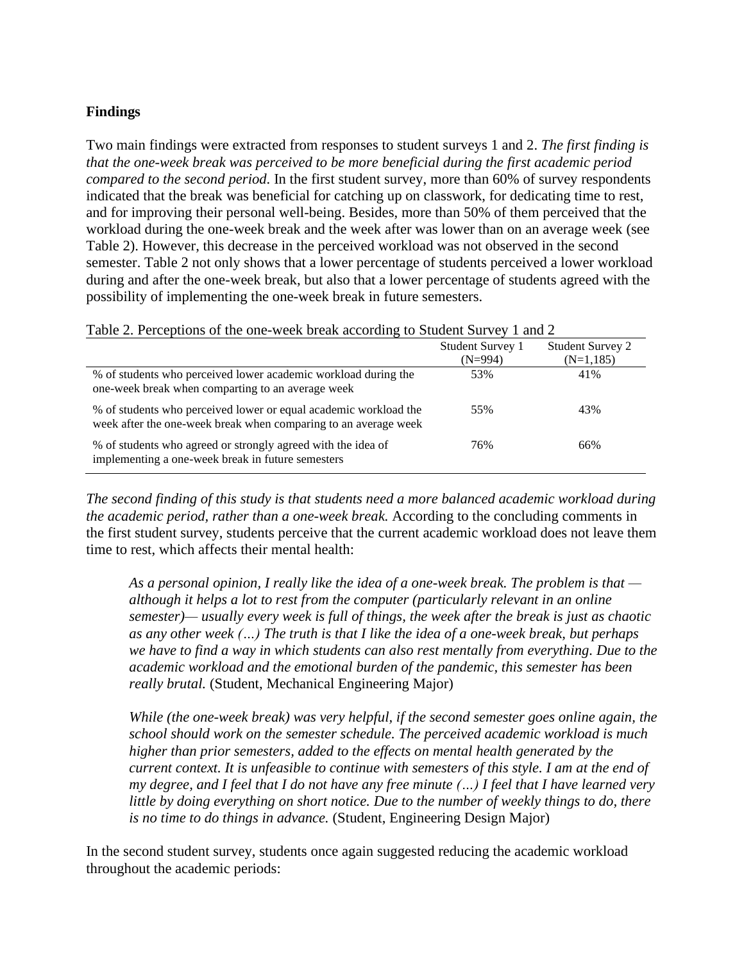# **Findings**

Two main findings were extracted from responses to student surveys 1 and 2. *The first finding is that the one-week break was perceived to be more beneficial during the first academic period compared to the second period.* In the first student survey, more than 60% of survey respondents indicated that the break was beneficial for catching up on classwork, for dedicating time to rest, and for improving their personal well-being. Besides, more than 50% of them perceived that the workload during the one-week break and the week after was lower than on an average week (see Table 2). However, this decrease in the perceived workload was not observed in the second semester. Table 2 not only shows that a lower percentage of students perceived a lower workload during and after the one-week break, but also that a lower percentage of students agreed with the possibility of implementing the one-week break in future semesters.

| Table 2. Perceptions of the one-week break according to Student Survey 1 and 2                                                      |                  |                         |  |  |  |  |
|-------------------------------------------------------------------------------------------------------------------------------------|------------------|-------------------------|--|--|--|--|
|                                                                                                                                     | Student Survey 1 | <b>Student Survey 2</b> |  |  |  |  |
|                                                                                                                                     | $(N=994)$        | $(N=1,185)$             |  |  |  |  |
| % of students who perceived lower academic workload during the<br>one-week break when comparting to an average week                 | 53%              | 41%                     |  |  |  |  |
| % of students who perceived lower or equal academic workload the<br>week after the one-week break when comparing to an average week | 55%              | 43%                     |  |  |  |  |
| % of students who agreed or strongly agreed with the idea of<br>implementing a one-week break in future semesters                   | 76%              | 66%                     |  |  |  |  |

*The second finding of this study is that students need a more balanced academic workload during the academic period, rather than a one-week break.* According to the concluding comments in the first student survey, students perceive that the current academic workload does not leave them time to rest, which affects their mental health:

*As a personal opinion, I really like the idea of a one-week break. The problem is that although it helps a lot to rest from the computer (particularly relevant in an online semester)— usually every week is full of things, the week after the break is just as chaotic as any other week (…) The truth is that I like the idea of a one-week break, but perhaps we have to find a way in which students can also rest mentally from everything. Due to the academic workload and the emotional burden of the pandemic, this semester has been really brutal.* (Student, Mechanical Engineering Major)

*While (the one-week break) was very helpful, if the second semester goes online again, the school should work on the semester schedule. The perceived academic workload is much higher than prior semesters, added to the effects on mental health generated by the current context. It is unfeasible to continue with semesters of this style. I am at the end of my degree, and I feel that I do not have any free minute (…) I feel that I have learned very little by doing everything on short notice. Due to the number of weekly things to do, there is no time to do things in advance.* (Student, Engineering Design Major)

In the second student survey, students once again suggested reducing the academic workload throughout the academic periods: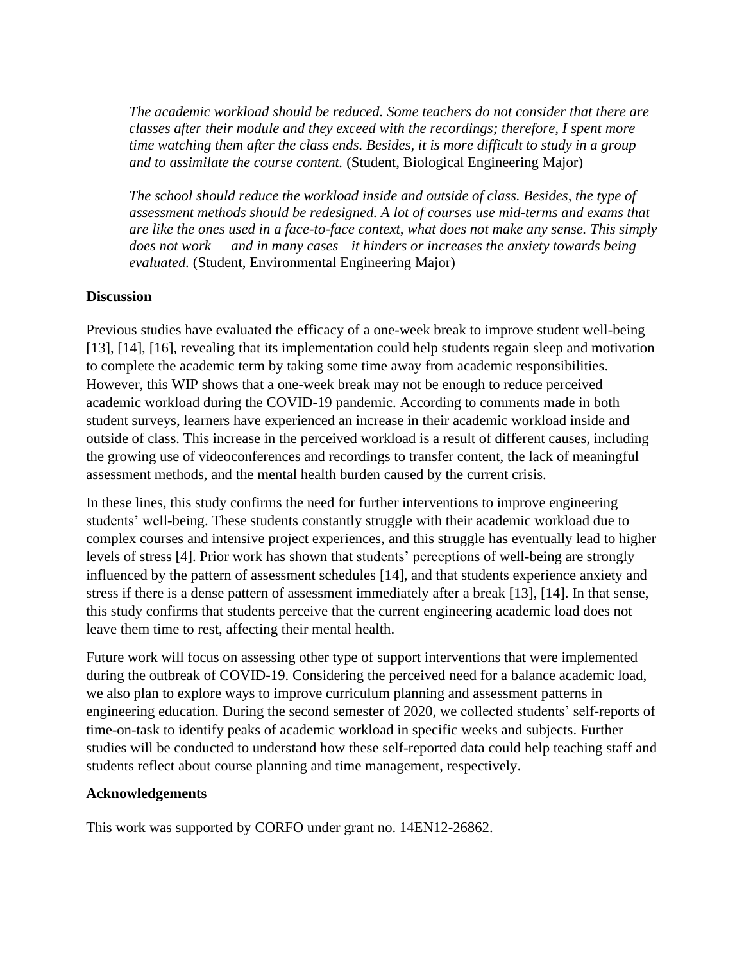*The academic workload should be reduced. Some teachers do not consider that there are classes after their module and they exceed with the recordings; therefore, I spent more time watching them after the class ends. Besides, it is more difficult to study in a group and to assimilate the course content.* (Student, Biological Engineering Major)

*The school should reduce the workload inside and outside of class. Besides, the type of assessment methods should be redesigned. A lot of courses use mid-terms and exams that are like the ones used in a face-to-face context, what does not make any sense. This simply does not work — and in many cases—it hinders or increases the anxiety towards being evaluated.* (Student, Environmental Engineering Major)

# **Discussion**

Previous studies have evaluated the efficacy of a one-week break to improve student well-being [13], [14], [16], revealing that its implementation could help students regain sleep and motivation to complete the academic term by taking some time away from academic responsibilities. However, this WIP shows that a one-week break may not be enough to reduce perceived academic workload during the COVID-19 pandemic. According to comments made in both student surveys, learners have experienced an increase in their academic workload inside and outside of class. This increase in the perceived workload is a result of different causes, including the growing use of videoconferences and recordings to transfer content, the lack of meaningful assessment methods, and the mental health burden caused by the current crisis.

In these lines, this study confirms the need for further interventions to improve engineering students' well-being. These students constantly struggle with their academic workload due to complex courses and intensive project experiences, and this struggle has eventually lead to higher levels of stress [4]. Prior work has shown that students' perceptions of well-being are strongly influenced by the pattern of assessment schedules [14], and that students experience anxiety and stress if there is a dense pattern of assessment immediately after a break [13], [14]. In that sense, this study confirms that students perceive that the current engineering academic load does not leave them time to rest, affecting their mental health.

Future work will focus on assessing other type of support interventions that were implemented during the outbreak of COVID-19. Considering the perceived need for a balance academic load, we also plan to explore ways to improve curriculum planning and assessment patterns in engineering education. During the second semester of 2020, we collected students' self-reports of time-on-task to identify peaks of academic workload in specific weeks and subjects. Further studies will be conducted to understand how these self-reported data could help teaching staff and students reflect about course planning and time management, respectively.

## **Acknowledgements**

This work was supported by CORFO under grant no. 14EN12-26862.